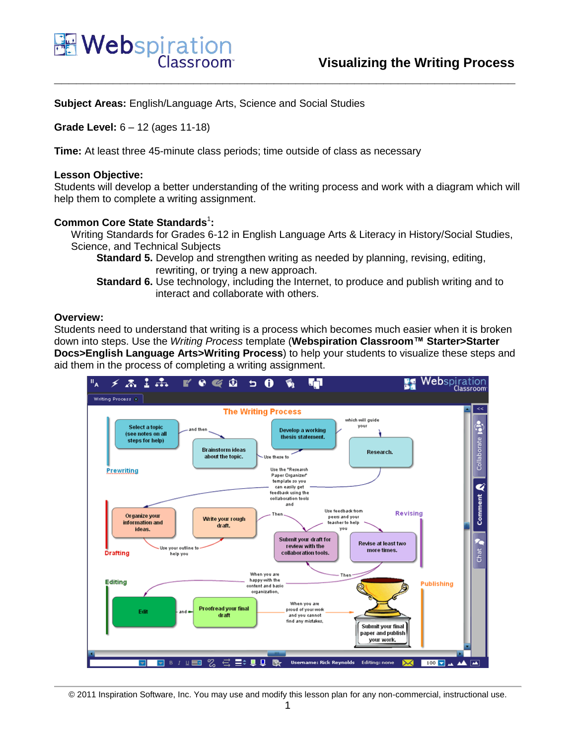

**Subject Areas:** English/Language Arts, Science and Social Studies

**Grade Level:** 6 – 12 (ages 11-18)

**Time:** At least three 45-minute class periods; time outside of class as necessary

#### **Lesson Objective:**

Students will develop a better understanding of the writing process and work with a diagram which will help them to complete a writing assignment.

**\_\_\_\_\_\_\_\_\_\_\_\_\_\_\_\_\_\_\_\_\_\_\_\_\_\_\_\_\_\_\_\_\_\_\_\_\_\_\_\_\_\_\_\_\_\_\_\_\_\_\_\_\_\_\_\_\_\_\_\_\_\_\_**

## **Common Core State Standards<sup>1</sup>:**

Writing Standards for Grades 6-12 in English Language Arts & Literacy in History/Social Studies, Science, and Technical Subjects

**Standard 5.** Develop and strengthen writing as needed by planning, revising, editing, rewriting, or trying a new approach.

**Standard 6.** Use technology, including the Internet, to produce and publish writing and to interact and collaborate with others.

### **Overview:**

Students need to understand that writing is a process which becomes much easier when it is broken down into steps. Use the *Writing Process* template (**Webspiration Classroom™ Starter>Starter Docs>English Language Arts>Writing Process**) to help your students to visualize these steps and aid them in the process of completing a writing assignment.



<sup>© 2011</sup> Inspiration Software, Inc. You may use and modify this lesson plan for any non-commercial, instructional use.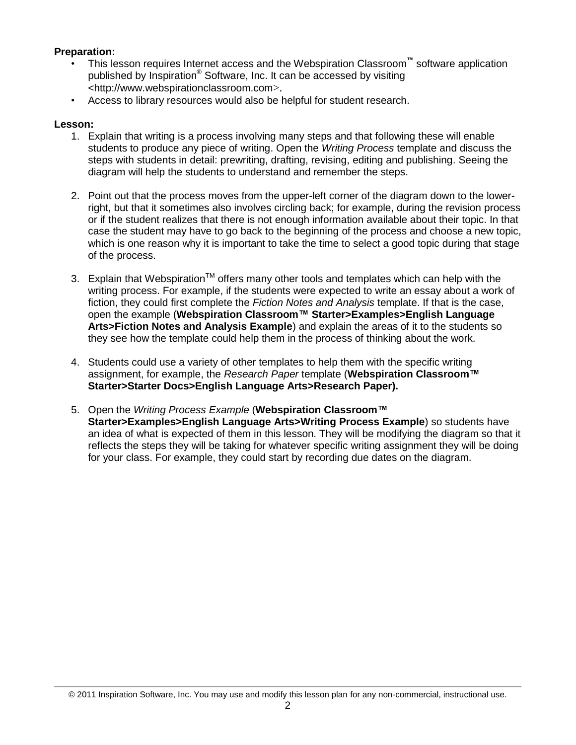# **Preparation:**

- This lesson requires Internet access and the Webspiration Classroom**™** software application published by Inspiration® Software, Inc. It can be accessed by visiting <http://www.webspirationclassroom.com>.
- Access to library resources would also be helpful for student research.

## **Lesson:**

- 1. Explain that writing is a process involving many steps and that following these will enable students to produce any piece of writing. Open the *Writing Process* template and discuss the steps with students in detail: prewriting, drafting, revising, editing and publishing. Seeing the diagram will help the students to understand and remember the steps.
- 2. Point out that the process moves from the upper-left corner of the diagram down to the lowerright, but that it sometimes also involves circling back; for example, during the revision process or if the student realizes that there is not enough information available about their topic. In that case the student may have to go back to the beginning of the process and choose a new topic, which is one reason why it is important to take the time to select a good topic during that stage of the process.
- 3. Explain that Webspiration<sup>TM</sup> offers many other tools and templates which can help with the writing process. For example, if the students were expected to write an essay about a work of fiction, they could first complete the *Fiction Notes and Analysis* template. If that is the case, open the example (**Webspiration Classroom™ Starter>Examples>English Language Arts>Fiction Notes and Analysis Example**) and explain the areas of it to the students so they see how the template could help them in the process of thinking about the work.
- 4. Students could use a variety of other templates to help them with the specific writing assignment, for example, the *Research Paper* template (**Webspiration Classroom™ Starter>Starter Docs>English Language Arts>Research Paper).**
- 5. Open the *Writing Process Example* (**Webspiration Classroom™ Starter>Examples>English Language Arts>Writing Process Example**) so students have an idea of what is expected of them in this lesson. They will be modifying the diagram so that it reflects the steps they will be taking for whatever specific writing assignment they will be doing for your class. For example, they could start by recording due dates on the diagram.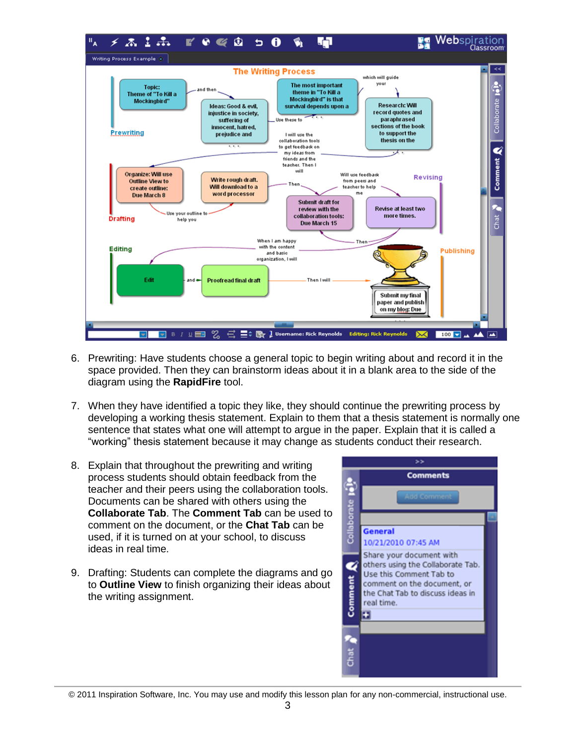

- 6. Prewriting: Have students choose a general topic to begin writing about and record it in the space provided. Then they can brainstorm ideas about it in a blank area to the side of the diagram using the **RapidFire** tool.
- 7. When they have identified a topic they like, they should continue the prewriting process by developing a working thesis statement. Explain to them that a thesis statement is normally one sentence that states what one will attempt to argue in the paper. Explain that it is called a "working" thesis statement because it may change as students conduct their research.
- 8. Explain that throughout the prewriting and writing process students should obtain feedback from the teacher and their peers using the collaboration tools. Documents can be shared with others using the **Collaborate Tab**. The **Comment Tab** can be used to comment on the document, or the **Chat Tab** can be used, if it is turned on at your school, to discuss ideas in real time.
- 9. Drafting: Students can complete the diagrams and go to **Outline View** to finish organizing their ideas about the writing assignment.



© 2011 Inspiration Software, Inc. You may use and modify this lesson plan for any non-commercial, instructional use.